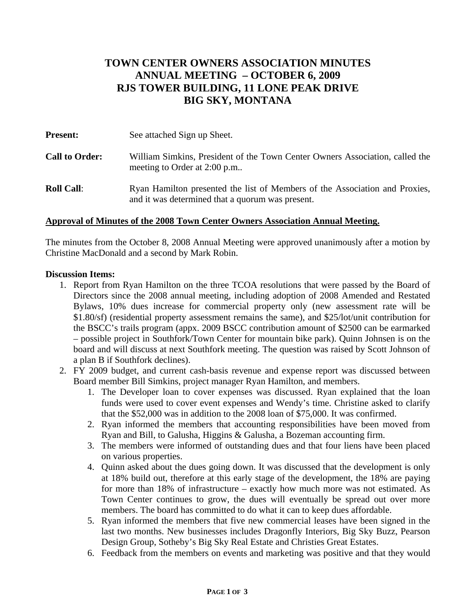# **TOWN CENTER OWNERS ASSOCIATION MINUTES ANNUAL MEETING – OCTOBER 6, 2009 RJS TOWER BUILDING, 11 LONE PEAK DRIVE BIG SKY, MONTANA**

| <b>Present:</b>       | See attached Sign up Sheet.                                                                                                     |
|-----------------------|---------------------------------------------------------------------------------------------------------------------------------|
| <b>Call to Order:</b> | William Simkins, President of the Town Center Owners Association, called the<br>meeting to Order at 2:00 p.m                    |
| <b>Roll Call:</b>     | Ryan Hamilton presented the list of Members of the Association and Proxies,<br>and it was determined that a quorum was present. |

### **Approval of Minutes of the 2008 Town Center Owners Association Annual Meeting.**

The minutes from the October 8, 2008 Annual Meeting were approved unanimously after a motion by Christine MacDonald and a second by Mark Robin.

#### **Discussion Items:**

- 1. Report from Ryan Hamilton on the three TCOA resolutions that were passed by the Board of Directors since the 2008 annual meeting, including adoption of 2008 Amended and Restated Bylaws, 10% dues increase for commercial property only (new assessment rate will be \$1.80/sf) (residential property assessment remains the same), and \$25/lot/unit contribution for the BSCC's trails program (appx. 2009 BSCC contribution amount of \$2500 can be earmarked – possible project in Southfork/Town Center for mountain bike park). Quinn Johnsen is on the board and will discuss at next Southfork meeting. The question was raised by Scott Johnson of a plan B if Southfork declines).
- 2. FY 2009 budget, and current cash-basis revenue and expense report was discussed between Board member Bill Simkins, project manager Ryan Hamilton, and members.
	- 1. The Developer loan to cover expenses was discussed. Ryan explained that the loan funds were used to cover event expenses and Wendy's time. Christine asked to clarify that the \$52,000 was in addition to the 2008 loan of \$75,000. It was confirmed.
	- 2. Ryan informed the members that accounting responsibilities have been moved from Ryan and Bill, to Galusha, Higgins & Galusha, a Bozeman accounting firm.
	- 3. The members were informed of outstanding dues and that four liens have been placed on various properties.
	- 4. Quinn asked about the dues going down. It was discussed that the development is only at 18% build out, therefore at this early stage of the development, the 18% are paying for more than 18% of infrastructure – exactly how much more was not estimated. As Town Center continues to grow, the dues will eventually be spread out over more members. The board has committed to do what it can to keep dues affordable.
	- 5. Ryan informed the members that five new commercial leases have been signed in the last two months. New businesses includes Dragonfly Interiors, Big Sky Buzz, Pearson Design Group, Sotheby's Big Sky Real Estate and Christies Great Estates.
	- 6. Feedback from the members on events and marketing was positive and that they would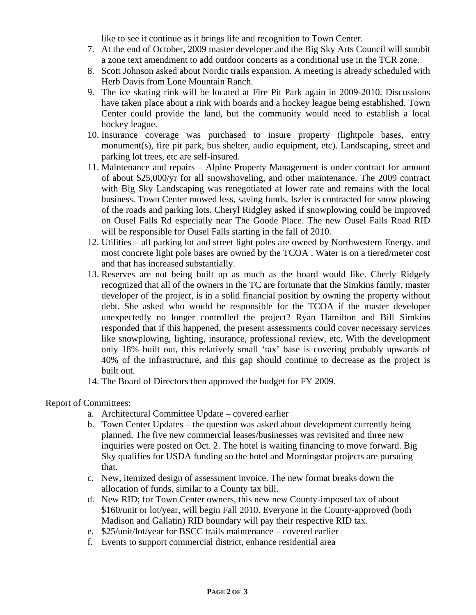like to see it continue as it brings life and recognition to Town Center.

- 7. At the end of October, 2009 master developer and the Big Sky Arts Council will sumbit a zone text amendment to add outdoor concerts as a conditional use in the TCR zone.
- 8. Scott Johnson asked about Nordic trails expansion. A meeting is already scheduled with Herb Davis from Lone Mountain Ranch.
- 9. The ice skating rink will be located at Fire Pit Park again in 2009-2010. Discussions have taken place about a rink with boards and a hockey league being established. Town Center could provide the land, but the community would need to establish a local hockey league.
- 10. Insurance coverage was purchased to insure property (lightpole bases, entry monument(s), fire pit park, bus shelter, audio equipment, etc). Landscaping, street and parking lot trees, etc are self-insured.
- 11. Maintenance and repairs Alpine Property Management is under contract for amount of about \$25,000/yr for all snowshoveling, and other maintenance. The 2009 contract with Big Sky Landscaping was renegotiated at lower rate and remains with the local business. Town Center mowed less, saving funds. Iszler is contracted for snow plowing of the roads and parking lots. Cheryl Ridgley asked if snowplowing could be improved on Ousel Falls Rd especially near The Goode Place. The new Ousel Falls Road RID will be responsible for Ousel Falls starting in the fall of 2010.
- 12. Utilities all parking lot and street light poles are owned by Northwestern Energy, and most concrete light pole bases are owned by the TCOA . Water is on a tiered/meter cost and that has increased substantially.
- 13. Reserves are not being built up as much as the board would like. Cherly Ridgely recognized that all of the owners in the TC are fortunate that the Simkins family, master developer of the project, is in a solid financial position by owning the property without debt. She asked who would be responsible for the TCOA if the master developer unexpectedly no longer controlled the project? Ryan Hamilton and Bill Simkins responded that if this happened, the present assessments could cover necessary services like snowplowing, lighting, insurance, professional review, etc. With the development only 18% built out, this relatively small 'tax' base is covering probably upwards of 40% of the infrastructure, and this gap should continue to decrease as the project is built out.
- 14. The Board of Directors then approved the budget for FY 2009.

## Report of Committees:

- a. Architectural Committee Update covered earlier
- b. Town Center Updates the question was asked about development currently being planned. The five new commercial leases/businesses was revisited and three new inquiries were posted on Oct. 2. The hotel is waiting financing to move forward. Big Sky qualifies for USDA funding so the hotel and Morningstar projects are pursuing that.
- c. New, itemized design of assessment invoice. The new format breaks down the allocation of funds, similar to a County tax bill.
- d. New RID; for Town Center owners, this new new County-imposed tax of about \$160/unit or lot/year, will begin Fall 2010. Everyone in the County-approved (both Madison and Gallatin) RID boundary will pay their respective RID tax.
- e. \$25/unit/lot/year for BSCC trails maintenance covered earlier
- f. Events to support commercial district, enhance residential area